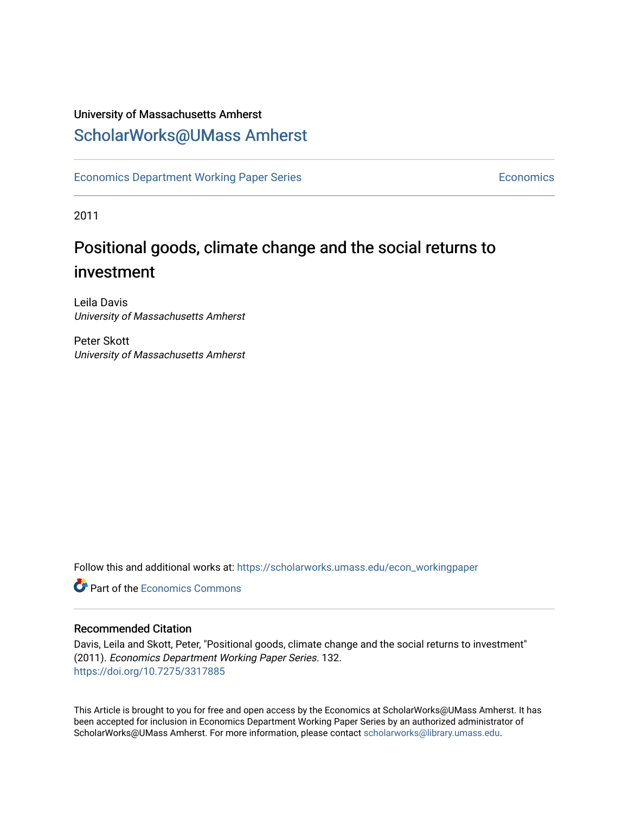### University of Massachusetts Amherst [ScholarWorks@UMass Amherst](https://scholarworks.umass.edu/)

[Economics Department Working Paper Series](https://scholarworks.umass.edu/econ_workingpaper) **Economics** Economics

2011

## Positional goods, climate change and the social returns to investment

Leila Davis University of Massachusetts Amherst

Peter Skott University of Massachusetts Amherst

Follow this and additional works at: [https://scholarworks.umass.edu/econ\\_workingpaper](https://scholarworks.umass.edu/econ_workingpaper?utm_source=scholarworks.umass.edu%2Fecon_workingpaper%2F132&utm_medium=PDF&utm_campaign=PDFCoverPages) 

**C** Part of the [Economics Commons](http://network.bepress.com/hgg/discipline/340?utm_source=scholarworks.umass.edu%2Fecon_workingpaper%2F132&utm_medium=PDF&utm_campaign=PDFCoverPages)

#### Recommended Citation

Davis, Leila and Skott, Peter, "Positional goods, climate change and the social returns to investment" (2011). Economics Department Working Paper Series. 132. <https://doi.org/10.7275/3317885>

This Article is brought to you for free and open access by the Economics at ScholarWorks@UMass Amherst. It has been accepted for inclusion in Economics Department Working Paper Series by an authorized administrator of ScholarWorks@UMass Amherst. For more information, please contact [scholarworks@library.umass.edu.](mailto:scholarworks@library.umass.edu)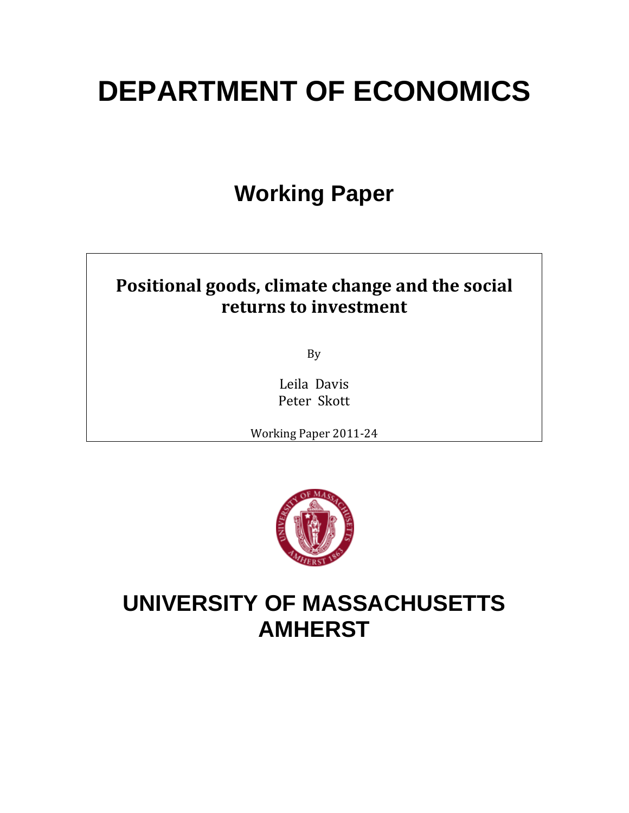# **DEPARTMENT OF ECONOMICS**

## **Working Paper**

## **Positional goods, climate change and the social returns to investment**

By

Leila Davis Peter Skott

Working Paper 2011‐24



## **UNIVERSITY OF MASSACHUSETTS AMHERST**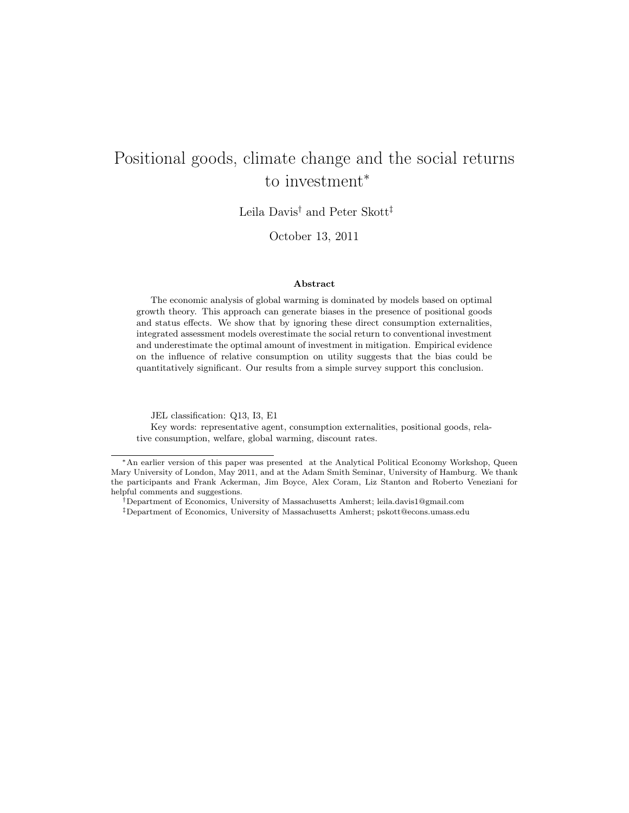### Positional goods, climate change and the social returns to investment<sup>∗</sup>

Leila Davis<sup>†</sup> and Peter Skott<sup>‡</sup>

October 13, 2011

#### Abstract

The economic analysis of global warming is dominated by models based on optimal growth theory. This approach can generate biases in the presence of positional goods and status effects. We show that by ignoring these direct consumption externalities, integrated assessment models overestimate the social return to conventional investment and underestimate the optimal amount of investment in mitigation. Empirical evidence on the influence of relative consumption on utility suggests that the bias could be quantitatively significant. Our results from a simple survey support this conclusion.

JEL classification: Q13, I3, E1

Key words: representative agent, consumption externalities, positional goods, relative consumption, welfare, global warming, discount rates.

<sup>∗</sup>An earlier version of this paper was presented at the Analytical Political Economy Workshop, Queen Mary University of London, May 2011, and at the Adam Smith Seminar, University of Hamburg. We thank the participants and Frank Ackerman, Jim Boyce, Alex Coram, Liz Stanton and Roberto Veneziani for helpful comments and suggestions.

<sup>†</sup>Department of Economics, University of Massachusetts Amherst; leila.davis1@gmail.com

<sup>‡</sup>Department of Economics, University of Massachusetts Amherst; pskott@econs.umass.edu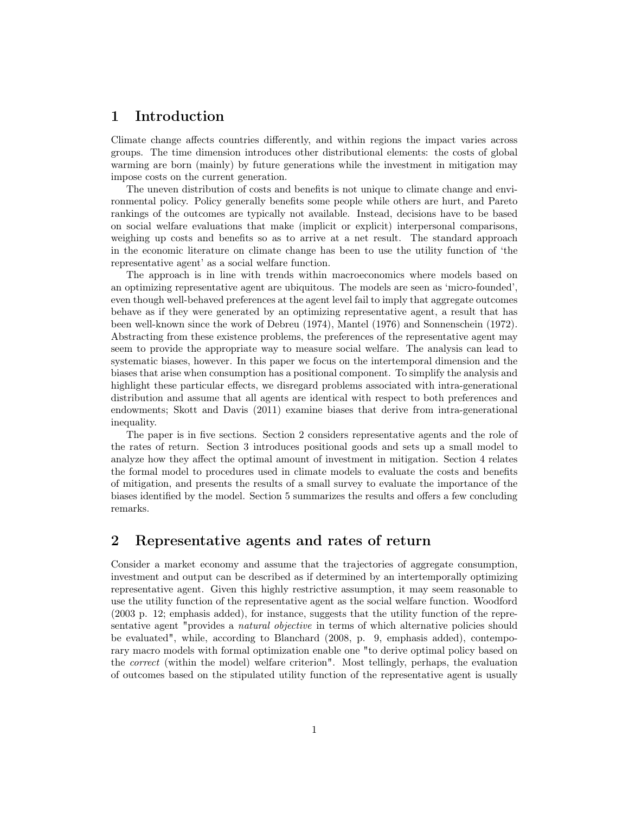#### 1 Introduction

Climate change affects countries differently, and within regions the impact varies across groups. The time dimension introduces other distributional elements: the costs of global warming are born (mainly) by future generations while the investment in mitigation may impose costs on the current generation.

The uneven distribution of costs and benefits is not unique to climate change and environmental policy. Policy generally benefits some people while others are hurt, and Pareto rankings of the outcomes are typically not available. Instead, decisions have to be based on social welfare evaluations that make (implicit or explicit) interpersonal comparisons, weighing up costs and benefits so as to arrive at a net result. The standard approach in the economic literature on climate change has been to use the utility function of 'the representative agent' as a social welfare function.

The approach is in line with trends within macroeconomics where models based on an optimizing representative agent are ubiquitous. The models are seen as 'micro-founded', even though well-behaved preferences at the agent level fail to imply that aggregate outcomes behave as if they were generated by an optimizing representative agent, a result that has been well-known since the work of Debreu (1974), Mantel (1976) and Sonnenschein (1972). Abstracting from these existence problems, the preferences of the representative agent may seem to provide the appropriate way to measure social welfare. The analysis can lead to systematic biases, however. In this paper we focus on the intertemporal dimension and the biases that arise when consumption has a positional component. To simplify the analysis and highlight these particular effects, we disregard problems associated with intra-generational distribution and assume that all agents are identical with respect to both preferences and endowments; Skott and Davis (2011) examine biases that derive from intra-generational inequality.

The paper is in five sections. Section 2 considers representative agents and the role of the rates of return. Section 3 introduces positional goods and sets up a small model to analyze how they affect the optimal amount of investment in mitigation. Section 4 relates the formal model to procedures used in climate models to evaluate the costs and benefits of mitigation, and presents the results of a small survey to evaluate the importance of the biases identified by the model. Section 5 summarizes the results and offers a few concluding remarks.

#### 2 Representative agents and rates of return

Consider a market economy and assume that the trajectories of aggregate consumption, investment and output can be described as if determined by an intertemporally optimizing representative agent. Given this highly restrictive assumption, it may seem reasonable to use the utility function of the representative agent as the social welfare function. Woodford (2003 p. 12; emphasis added), for instance, suggests that the utility function of the representative agent "provides a *natural objective* in terms of which alternative policies should be evaluated", while, according to Blanchard (2008, p. 9, emphasis added), contemporary macro models with formal optimization enable one "to derive optimal policy based on the *correct* (within the model) welfare criterion". Most tellingly, perhaps, the evaluation of outcomes based on the stipulated utility function of the representative agent is usually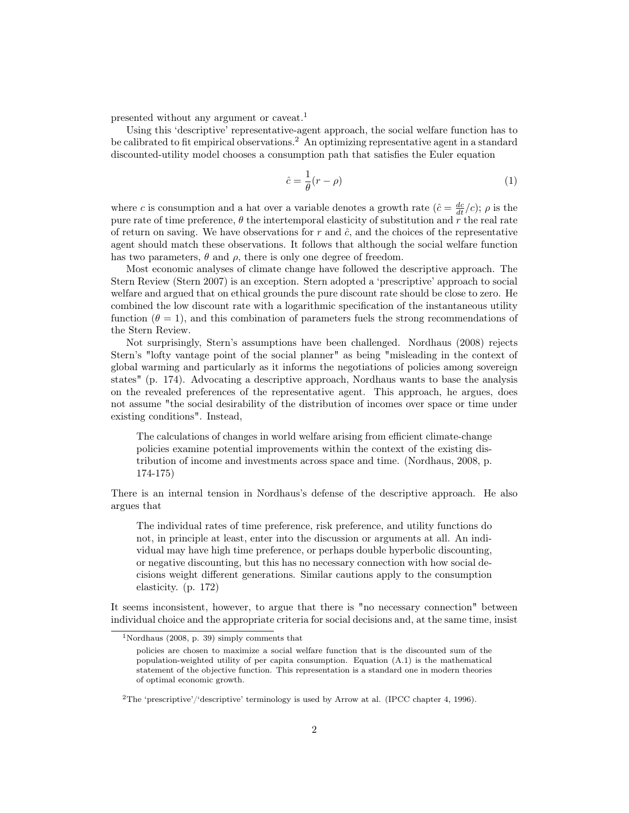presented without any argument or caveat.<sup>1</sup>

Using this 'descriptive' representative-agent approach, the social welfare function has to be calibrated to fit empirical observations.<sup>2</sup> An optimizing representative agent in a standard discounted-utility model chooses a consumption path that satisfies the Euler equation

$$
\hat{c} = \frac{1}{\theta}(r - \rho) \tag{1}
$$

where c is consumption and a hat over a variable denotes a growth rate  $(\hat{c} = \frac{dc}{dt}/c)$ ;  $\rho$  is the pure rate of time preference,  $\theta$  the intertemporal elasticity of substitution and  $\tilde{r}$  the real rate of return on saving. We have observations for  $r$  and  $\hat{c}$ , and the choices of the representative agent should match these observations. It follows that although the social welfare function has two parameters,  $\theta$  and  $\rho$ , there is only one degree of freedom.

Most economic analyses of climate change have followed the descriptive approach. The Stern Review (Stern 2007) is an exception. Stern adopted a 'prescriptive' approach to social welfare and argued that on ethical grounds the pure discount rate should be close to zero. He combined the low discount rate with a logarithmic specification of the instantaneous utility function  $(\theta = 1)$ , and this combination of parameters fuels the strong recommendations of the Stern Review.

Not surprisingly, Stern's assumptions have been challenged. Nordhaus (2008) rejects Stern's "lofty vantage point of the social planner" as being "misleading in the context of global warming and particularly as it informs the negotiations of policies among sovereign states" (p. 174). Advocating a descriptive approach, Nordhaus wants to base the analysis on the revealed preferences of the representative agent. This approach, he argues, does not assume "the social desirability of the distribution of incomes over space or time under existing conditions". Instead,

The calculations of changes in world welfare arising from efficient climate-change policies examine potential improvements within the context of the existing distribution of income and investments across space and time. (Nordhaus, 2008, p. 174-175)

There is an internal tension in Nordhaus's defense of the descriptive approach. He also argues that

The individual rates of time preference, risk preference, and utility functions do not, in principle at least, enter into the discussion or arguments at all. An individual may have high time preference, or perhaps double hyperbolic discounting, or negative discounting, but this has no necessary connection with how social decisions weight different generations. Similar cautions apply to the consumption elasticity. (p. 172)

It seems inconsistent, however, to argue that there is "no necessary connection" between individual choice and the appropriate criteria for social decisions and, at the same time, insist

<sup>&</sup>lt;sup>1</sup>Nordhaus (2008, p. 39) simply comments that

policies are chosen to maximize a social welfare function that is the discounted sum of the population-weighted utility of per capita consumption. Equation (A.1) is the mathematical statement of the objective function. This representation is a standard one in modern theories of optimal economic growth.

<sup>2</sup>The 'prescriptive'/'descriptive' terminology is used by Arrow at al. (IPCC chapter 4, 1996).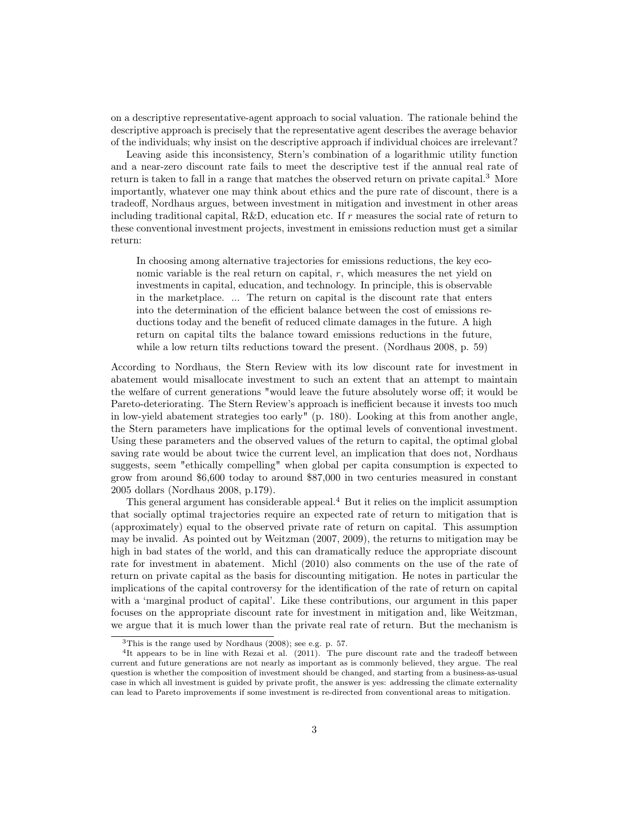on a descriptive representative-agent approach to social valuation. The rationale behind the descriptive approach is precisely that the representative agent describes the average behavior of the individuals; why insist on the descriptive approach if individual choices are irrelevant?

Leaving aside this inconsistency, Stern's combination of a logarithmic utility function and a near-zero discount rate fails to meet the descriptive test if the annual real rate of return is taken to fall in a range that matches the observed return on private capital.<sup>3</sup> More importantly, whatever one may think about ethics and the pure rate of discount, there is a tradeoff, Nordhaus argues, between investment in mitigation and investment in other areas including traditional capital,  $R\&D$ , education etc. If r measures the social rate of return to these conventional investment projects, investment in emissions reduction must get a similar return:

In choosing among alternative trajectories for emissions reductions, the key economic variable is the real return on capital,  $r$ , which measures the net yield on investments in capital, education, and technology. In principle, this is observable in the marketplace. ... The return on capital is the discount rate that enters into the determination of the efficient balance between the cost of emissions reductions today and the benefit of reduced climate damages in the future. A high return on capital tilts the balance toward emissions reductions in the future, while a low return tilts reductions toward the present. (Nordhaus 2008, p. 59)

According to Nordhaus, the Stern Review with its low discount rate for investment in abatement would misallocate investment to such an extent that an attempt to maintain the welfare of current generations "would leave the future absolutely worse off; it would be Pareto-deteriorating. The Stern Review's approach is inefficient because it invests too much in low-yield abatement strategies too early" (p. 180). Looking at this from another angle, the Stern parameters have implications for the optimal levels of conventional investment. Using these parameters and the observed values of the return to capital, the optimal global saving rate would be about twice the current level, an implication that does not, Nordhaus suggests, seem "ethically compelling" when global per capita consumption is expected to grow from around \$6,600 today to around \$87,000 in two centuries measured in constant 2005 dollars (Nordhaus 2008, p.179).

This general argument has considerable appeal.<sup>4</sup> But it relies on the implicit assumption that socially optimal trajectories require an expected rate of return to mitigation that is (approximately) equal to the observed private rate of return on capital. This assumption may be invalid. As pointed out by Weitzman (2007, 2009), the returns to mitigation may be high in bad states of the world, and this can dramatically reduce the appropriate discount rate for investment in abatement. Michl (2010) also comments on the use of the rate of return on private capital as the basis for discounting mitigation. He notes in particular the implications of the capital controversy for the identification of the rate of return on capital with a 'marginal product of capital'. Like these contributions, our argument in this paper focuses on the appropriate discount rate for investment in mitigation and, like Weitzman, we argue that it is much lower than the private real rate of return. But the mechanism is

<sup>3</sup>This is the range used by Nordhaus (2008); see e.g. p. 57.

<sup>&</sup>lt;sup>4</sup>It appears to be in line with Rezai et al. (2011). The pure discount rate and the tradeoff between current and future generations are not nearly as important as is commonly believed, they argue. The real question is whether the composition of investment should be changed, and starting from a business-as-usual case in which all investment is guided by private profit, the answer is yes: addressing the climate externality can lead to Pareto improvements if some investment is re-directed from conventional areas to mitigation.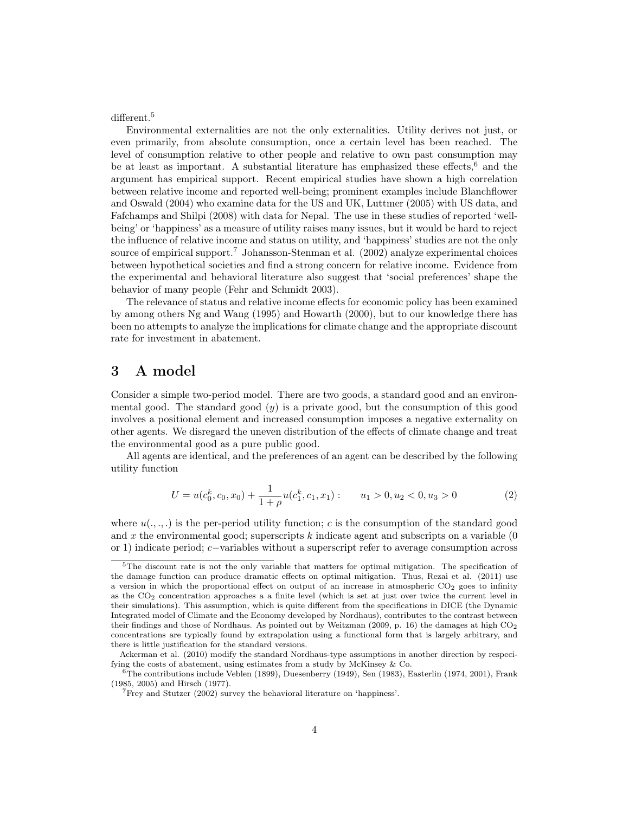different.<sup>5</sup>

Environmental externalities are not the only externalities. Utility derives not just, or even primarily, from absolute consumption, once a certain level has been reached. The level of consumption relative to other people and relative to own past consumption may be at least as important. A substantial literature has emphasized these effects,  $6$  and the argument has empirical support. Recent empirical studies have shown a high correlation between relative income and reported well-being; prominent examples include Blanchflower and Oswald (2004) who examine data for the US and UK, Luttmer (2005) with US data, and Fafchamps and Shilpi (2008) with data for Nepal. The use in these studies of reported 'wellbeing' or 'happiness' as a measure of utility raises many issues, but it would be hard to reject the influence of relative income and status on utility, and 'happiness' studies are not the only source of empirical support.<sup>7</sup> Johansson-Stenman et al. (2002) analyze experimental choices between hypothetical societies and find a strong concern for relative income. Evidence from the experimental and behavioral literature also suggest that 'social preferences' shape the behavior of many people (Fehr and Schmidt 2003).

The relevance of status and relative income effects for economic policy has been examined by among others Ng and Wang (1995) and Howarth (2000), but to our knowledge there has been no attempts to analyze the implications for climate change and the appropriate discount rate for investment in abatement.

#### 3 A model

Consider a simple two-period model. There are two goods, a standard good and an environmental good. The standard good  $(y)$  is a private good, but the consumption of this good involves a positional element and increased consumption imposes a negative externality on other agents. We disregard the uneven distribution of the effects of climate change and treat the environmental good as a pure public good.

All agents are identical, and the preferences of an agent can be described by the following utility function

$$
U = u(c_0^k, c_0, x_0) + \frac{1}{1+\rho}u(c_1^k, c_1, x_1): \qquad u_1 > 0, u_2 < 0, u_3 > 0 \tag{2}
$$

where  $u(\ldots)$  is the per-period utility function; c is the consumption of the standard good and  $x$  the environmental good; superscripts  $k$  indicate agent and subscripts on a variable  $(0, 0, 0)$ or 1) indicate period; c−variables without a superscript refer to average consumption across

<sup>&</sup>lt;sup>5</sup>The discount rate is not the only variable that matters for optimal mitigation. The specification of the damage function can produce dramatic effects on optimal mitigation. Thus, Rezai et al. (2011) use a version in which the proportional effect on output of an increase in atmospheric  $CO<sub>2</sub>$  goes to infinity as the CO<sup>2</sup> concentration approaches a a finite level (which is set at just over twice the current level in their simulations). This assumption, which is quite different from the specifications in DICE (the Dynamic Integrated model of Climate and the Economy developed by Nordhaus), contributes to the contrast between their findings and those of Nordhaus. As pointed out by Weitzman (2009, p. 16) the damages at high CO<sub>2</sub> concentrations are typically found by extrapolation using a functional form that is largely arbitrary, and there is little justification for the standard versions.

Ackerman et al. (2010) modify the standard Nordhaus-type assumptions in another direction by respecifying the costs of abatement, using estimates from a study by McKinsey & Co.

<sup>6</sup>The contributions include Veblen (1899), Duesenberry (1949), Sen (1983), Easterlin (1974, 2001), Frank (1985, 2005) and Hirsch (1977).

<sup>7</sup>Frey and Stutzer (2002) survey the behavioral literature on 'happiness'.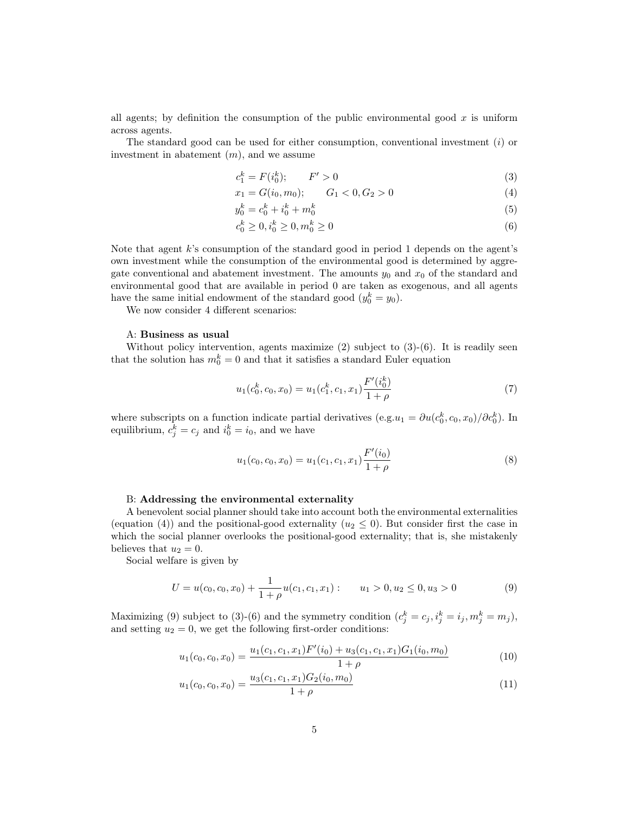all agents; by definition the consumption of the public environmental good  $x$  is uniform across agents.

The standard good can be used for either consumption, conventional investment (i) or investment in abatement  $(m)$ , and we assume

$$
c_1^k = F(i_0^k); \qquad F' > 0 \tag{3}
$$

$$
x_1 = G(i_0, m_0); \t G_1 < 0, G_2 > 0 \t (4)
$$

$$
y_0^k = c_0^k + i_0^k + m_0^k \tag{5}
$$

$$
c_0^k \ge 0, i_0^k \ge 0, m_0^k \ge 0 \tag{6}
$$

Note that agent  $k$ 's consumption of the standard good in period 1 depends on the agent's own investment while the consumption of the environmental good is determined by aggregate conventional and abatement investment. The amounts  $y_0$  and  $x_0$  of the standard and environmental good that are available in period 0 are taken as exogenous, and all agents have the same initial endowment of the standard good  $(y_0^k = y_0)$ .

We now consider 4 different scenarios:

#### A: Business as usual

Without policy intervention, agents maximize  $(2)$  subject to  $(3)-(6)$ . It is readily seen that the solution has  $m_0^k = 0$  and that it satisfies a standard Euler equation

$$
u_1(c_0^k, c_0, x_0) = u_1(c_1^k, c_1, x_1) \frac{F'(i_0^k)}{1+\rho}
$$
\n<sup>(7)</sup>

where subscripts on a function indicate partial derivatives  $(e.g.u_1 = \partial u(c_0^k, c_0, x_0)/\partial c_0^k)$ . In equilibrium,  $c_j^k = c_j$  and  $i_0^k = i_0$ , and we have

$$
u_1(c_0, c_0, x_0) = u_1(c_1, c_1, x_1) \frac{F'(i_0)}{1 + \rho}
$$
\n(8)

#### B: Addressing the environmental externality

A benevolent social planner should take into account both the environmental externalities (equation (4)) and the positional-good externality  $(u_2 \leq 0)$ . But consider first the case in which the social planner overlooks the positional-good externality; that is, she mistakenly believes that  $u_2 = 0$ .

Social welfare is given by

$$
U = u(c_0, c_0, x_0) + \frac{1}{1+\rho}u(c_1, c_1, x_1): \qquad u_1 > 0, u_2 \le 0, u_3 > 0 \tag{9}
$$

Maximizing (9) subject to (3)-(6) and the symmetry condition  $(c_j^k = c_j, i_j^k = i_j, m_j^k = m_j)$ , and setting  $u_2 = 0$ , we get the following first-order conditions:

$$
u_1(c_0, c_0, x_0) = \frac{u_1(c_1, c_1, x_1)F'(i_0) + u_3(c_1, c_1, x_1)G_1(i_0, m_0)}{1 + \rho}
$$
\n
$$
(10)
$$

$$
u_1(c_0, c_0, x_0) = \frac{u_3(c_1, c_1, x_1)G_2(i_0, m_0)}{1 + \rho} \tag{11}
$$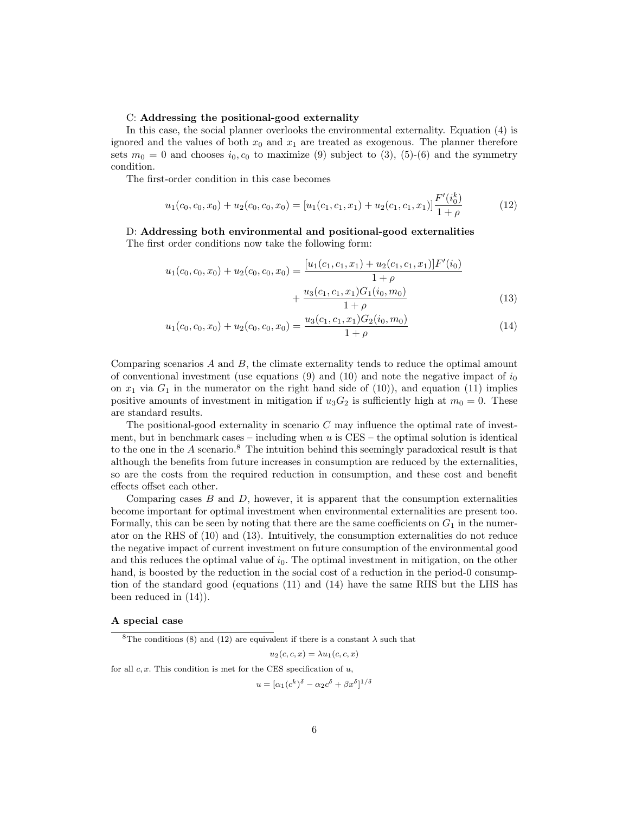#### C: Addressing the positional-good externality

In this case, the social planner overlooks the environmental externality. Equation (4) is ignored and the values of both  $x_0$  and  $x_1$  are treated as exogenous. The planner therefore sets  $m_0 = 0$  and chooses  $i_0, c_0$  to maximize (9) subject to (3), (5)-(6) and the symmetry condition.

The first-order condition in this case becomes

$$
u_1(c_0, c_0, x_0) + u_2(c_0, c_0, x_0) = [u_1(c_1, c_1, x_1) + u_2(c_1, c_1, x_1)] \frac{F'(i_0^k)}{1 + \rho}
$$
(12)

D: Addressing both environmental and positional-good externalities The first order conditions now take the following form:

$$
u_1(c_0, c_0, x_0) + u_2(c_0, c_0, x_0) = \frac{[u_1(c_1, c_1, x_1) + u_2(c_1, c_1, x_1)]F'(i_0)}{1 + \rho} + \frac{u_3(c_1, c_1, x_1)G_1(i_0, m_0)}{1 + \rho}
$$
\n(13)

$$
u_1(c_0, c_0, x_0) + u_2(c_0, c_0, x_0) = \frac{u_3(c_1, c_1, x_1)G_2(i_0, m_0)}{1 + \rho}
$$
\n(14)

Comparing scenarios A and B, the climate externality tends to reduce the optimal amount of conventional investment (use equations (9) and (10) and note the negative impact of  $i_0$ on  $x_1$  via  $G_1$  in the numerator on the right hand side of (10)), and equation (11) implies positive amounts of investment in mitigation if  $u_3G_2$  is sufficiently high at  $m_0 = 0$ . These are standard results.

The positional-good externality in scenario  $C$  may influence the optimal rate of investment, but in benchmark cases – including when  $u$  is CES – the optimal solution is identical to the one in the  $A$  scenario.<sup>8</sup> The intuition behind this seemingly paradoxical result is that although the benefits from future increases in consumption are reduced by the externalities, so are the costs from the required reduction in consumption, and these cost and benefit effects offset each other.

Comparing cases  $B$  and  $D$ , however, it is apparent that the consumption externalities become important for optimal investment when environmental externalities are present too. Formally, this can be seen by noting that there are the same coefficients on  $G_1$  in the numerator on the RHS of (10) and (13). Intuitively, the consumption externalities do not reduce the negative impact of current investment on future consumption of the environmental good and this reduces the optimal value of  $i<sub>0</sub>$ . The optimal investment in mitigation, on the other hand, is boosted by the reduction in the social cost of a reduction in the period-0 consumption of the standard good (equations (11) and (14) have the same RHS but the LHS has been reduced in (14)).

#### A special case

 $u_2(c, c, x) = \lambda u_1(c, c, x)$ 

for all  $c, x$ . This condition is met for the CES specification of  $u$ ,

$$
u = [\alpha_1 (c^k)^\delta - \alpha_2 c^\delta + \beta x^\delta]^{1/\delta}
$$

<sup>&</sup>lt;sup>8</sup>The conditions (8) and (12) are equivalent if there is a constant  $\lambda$  such that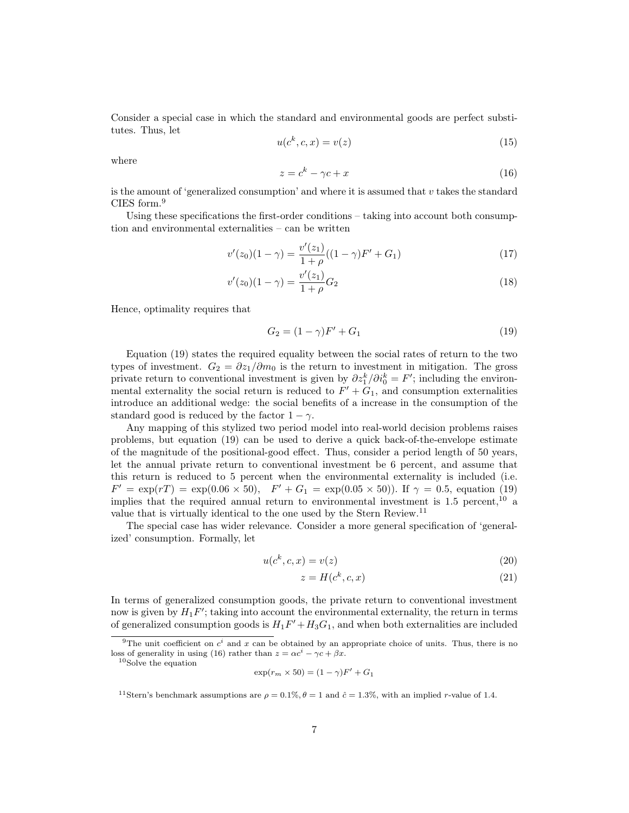Consider a special case in which the standard and environmental goods are perfect substitutes. Thus, let

$$
u(c^k, c, x) = v(z)
$$
\n<sup>(15)</sup>

where

$$
z = c^k - \gamma c + x \tag{16}
$$

is the amount of 'generalized consumption' and where it is assumed that  $v$  takes the standard CIES form.<sup>9</sup>

Using these specifications the first-order conditions – taking into account both consumption and environmental externalities – can be written

$$
v'(z_0)(1 - \gamma) = \frac{v'(z_1)}{1 + \rho}((1 - \gamma)F' + G_1)
$$
\n(17)

$$
v'(z_0)(1 - \gamma) = \frac{v'(z_1)}{1 + \rho} G_2 \tag{18}
$$

Hence, optimality requires that

$$
G_2 = (1 - \gamma)F' + G_1 \tag{19}
$$

Equation (19) states the required equality between the social rates of return to the two types of investment.  $G_2 = \partial z_1/\partial m_0$  is the return to investment in mitigation. The gross private return to conventional investment is given by  $\partial z_1^k / \partial i_0^k = F'$ ; including the environmental externality the social return is reduced to  $F' + G_1$ , and consumption externalities introduce an additional wedge: the social benefits of a increase in the consumption of the standard good is reduced by the factor  $1 - \gamma$ .

Any mapping of this stylized two period model into real-world decision problems raises problems, but equation (19) can be used to derive a quick back-of-the-envelope estimate of the magnitude of the positional-good effect. Thus, consider a period length of 50 years, let the annual private return to conventional investment be 6 percent, and assume that this return is reduced to 5 percent when the environmental externality is included (i.e.  $F' = \exp(rT) = \exp(0.06 \times 50), \quad F' + G_1 = \exp(0.05 \times 50).$  If  $\gamma = 0.5$ , equation (19) implies that the required annual return to environmental investment is 1.5 percent,<sup>10</sup> a value that is virtually identical to the one used by the Stern Review.<sup>11</sup>

The special case has wider relevance. Consider a more general specification of 'generalized' consumption. Formally, let

$$
u(c^k, c, x) = v(z) \tag{20}
$$

$$
z = H(c^k, c, x) \tag{21}
$$

In terms of generalized consumption goods, the private return to conventional investment now is given by  $H_1F'$ ; taking into account the environmental externality, the return in terms of generalized consumption goods is  $H_1F' + H_3G_1$ , and when both externalities are included

$$
\exp(r_m \times 50) = (1 - \gamma)F' + G_1
$$

<sup>11</sup>Stern's benchmark assumptions are  $\rho = 0.1\%, \theta = 1$  and  $\hat{c} = 1.3\%$ , with an implied r-value of 1.4.

<sup>&</sup>lt;sup>9</sup>The unit coefficient on  $c^i$  and x can be obtained by an appropriate choice of units. Thus, there is no loss of generality in using (16) rather than  $z = \alpha c^i - \gamma c + \beta x$ .<br><sup>10</sup>Solve the equation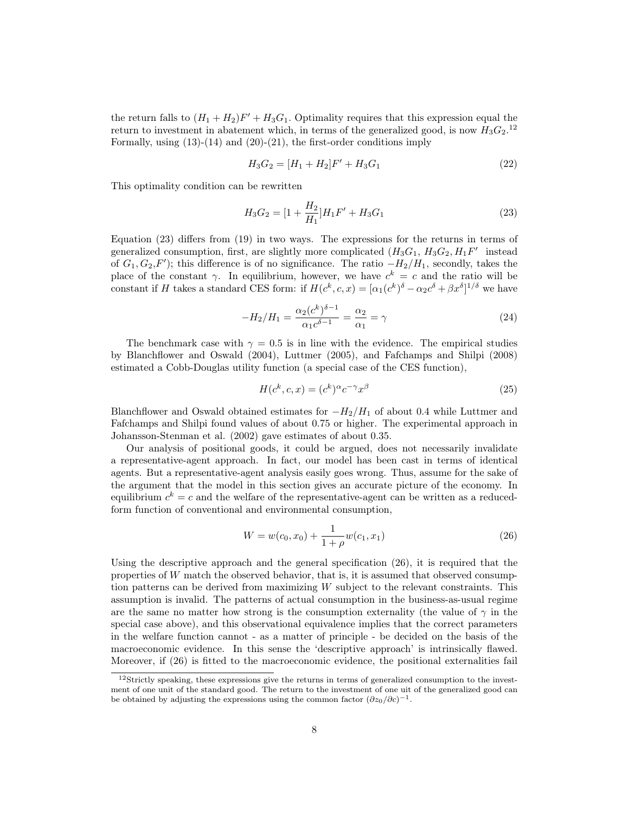the return falls to  $(H_1 + H_2)F' + H_3G_1$ . Optimality requires that this expression equal the return to investment in abatement which, in terms of the generalized good, is now  $H_3G_2$ .<sup>12</sup> Formally, using  $(13)-(14)$  and  $(20)-(21)$ , the first-order conditions imply

$$
H_3 G_2 = [H_1 + H_2]F' + H_3 G_1 \tag{22}
$$

This optimality condition can be rewritten

$$
H_3 G_2 = [1 + \frac{H_2}{H_1}]H_1 F' + H_3 G_1 \tag{23}
$$

Equation (23) differs from (19) in two ways. The expressions for the returns in terms of generalized consumption, first, are slightly more complicated  $(H_3G_1, H_3G_2, H_1F'$  instead of  $G_1, G_2, F'$ ); this difference is of no significance. The ratio  $-H_2/H_1$ , secondly, takes the place of the constant  $\gamma$ . In equilibrium, however, we have  $c^k = c$  and the ratio will be constant if H takes a standard CES form: if  $H(c^k, c, x) = [\alpha_1(c^k)\delta - \alpha_2c\delta + \beta x\delta]^{1/\delta}$  we have

$$
-H_2/H_1 = \frac{\alpha_2 (c^k)^{\delta - 1}}{\alpha_1 c^{\delta - 1}} = \frac{\alpha_2}{\alpha_1} = \gamma
$$
\n(24)

The benchmark case with  $\gamma = 0.5$  is in line with the evidence. The empirical studies by Blanchflower and Oswald (2004), Luttmer (2005), and Fafchamps and Shilpi (2008) estimated a Cobb-Douglas utility function (a special case of the CES function),

$$
H(c^k, c, x) = (c^k)^{\alpha} c^{-\gamma} x^{\beta}
$$
\n(25)

Blanchflower and Oswald obtained estimates for  $-H_2/H_1$  of about 0.4 while Luttmer and Fafchamps and Shilpi found values of about 0.75 or higher. The experimental approach in Johansson-Stenman et al. (2002) gave estimates of about 0.35.

Our analysis of positional goods, it could be argued, does not necessarily invalidate a representative-agent approach. In fact, our model has been cast in terms of identical agents. But a representative-agent analysis easily goes wrong. Thus, assume for the sake of the argument that the model in this section gives an accurate picture of the economy. In equilibrium  $c^k = c$  and the welfare of the representative-agent can be written as a reducedform function of conventional and environmental consumption,

$$
W = w(c_0, x_0) + \frac{1}{1+\rho}w(c_1, x_1)
$$
\n(26)

Using the descriptive approach and the general specification (26), it is required that the properties of W match the observed behavior, that is, it is assumed that observed consumption patterns can be derived from maximizing  $W$  subject to the relevant constraints. This assumption is invalid. The patterns of actual consumption in the business-as-usual regime are the same no matter how strong is the consumption externality (the value of  $\gamma$  in the special case above), and this observational equivalence implies that the correct parameters in the welfare function cannot - as a matter of principle - be decided on the basis of the macroeconomic evidence. In this sense the 'descriptive approach' is intrinsically flawed. Moreover, if (26) is fitted to the macroeconomic evidence, the positional externalities fail

<sup>&</sup>lt;sup>12</sup>Strictly speaking, these expressions give the returns in terms of generalized consumption to the investment of one unit of the standard good. The return to the investment of one uit of the generalized good can be obtained by adjusting the expressions using the common factor  $(\partial z_0/\partial c)^{-1}$ .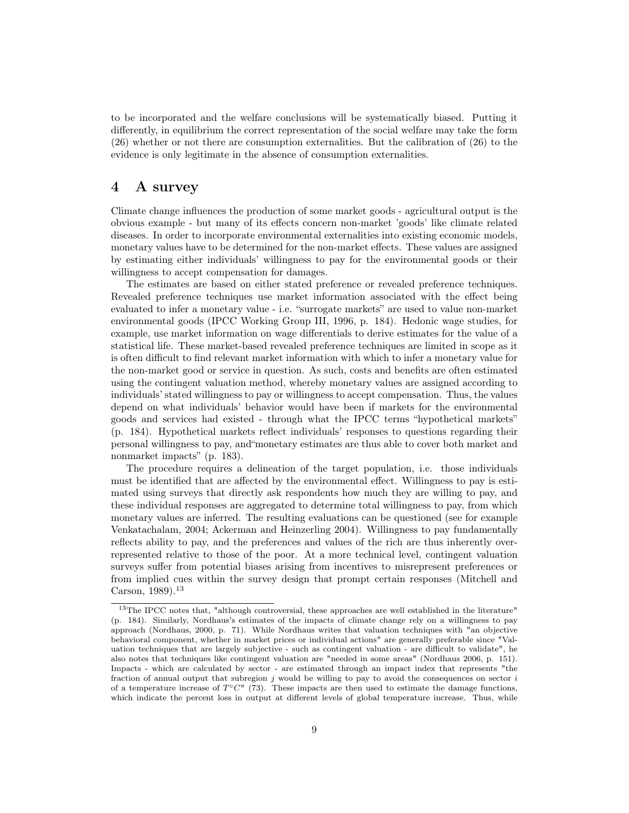to be incorporated and the welfare conclusions will be systematically biased. Putting it differently, in equilibrium the correct representation of the social welfare may take the form (26) whether or not there are consumption externalities. But the calibration of (26) to the evidence is only legitimate in the absence of consumption externalities.

#### 4 A survey

Climate change influences the production of some market goods - agricultural output is the obvious example - but many of its effects concern non-market 'goods' like climate related diseases. In order to incorporate environmental externalities into existing economic models, monetary values have to be determined for the non-market effects. These values are assigned by estimating either individuals' willingness to pay for the environmental goods or their willingness to accept compensation for damages.

The estimates are based on either stated preference or revealed preference techniques. Revealed preference techniques use market information associated with the effect being evaluated to infer a monetary value - i.e. "surrogate markets" are used to value non-market environmental goods (IPCC Working Group III, 1996, p. 184). Hedonic wage studies, for example, use market information on wage differentials to derive estimates for the value of a statistical life. These market-based revealed preference techniques are limited in scope as it is often difficult to find relevant market information with which to infer a monetary value for the non-market good or service in question. As such, costs and benefits are often estimated using the contingent valuation method, whereby monetary values are assigned according to individuals' stated willingness to pay or willingness to accept compensation. Thus, the values depend on what individuals' behavior would have been if markets for the environmental goods and services had existed - through what the IPCC terms "hypothetical markets" (p. 184). Hypothetical markets reflect individuals' responses to questions regarding their personal willingness to pay, and"monetary estimates are thus able to cover both market and nonmarket impacts" (p. 183).

The procedure requires a delineation of the target population, i.e. those individuals must be identified that are affected by the environmental effect. Willingness to pay is estimated using surveys that directly ask respondents how much they are willing to pay, and these individual responses are aggregated to determine total willingness to pay, from which monetary values are inferred. The resulting evaluations can be questioned (see for example Venkatachalam, 2004; Ackerman and Heinzerling 2004). Willingness to pay fundamentally reflects ability to pay, and the preferences and values of the rich are thus inherently overrepresented relative to those of the poor. At a more technical level, contingent valuation surveys suffer from potential biases arising from incentives to misrepresent preferences or from implied cues within the survey design that prompt certain responses (Mitchell and Carson,  $1989$ ).<sup>13</sup>

<sup>&</sup>lt;sup>13</sup>The IPCC notes that, "although controversial, these approaches are well established in the literature" (p. 184). Similarly, Nordhaus's estimates of the impacts of climate change rely on a willingness to pay approach (Nordhaus, 2000, p. 71). While Nordhaus writes that valuation techniques with "an objective behavioral component, whether in market prices or individual actions" are generally preferable since "Valuation techniques that are largely subjective - such as contingent valuation - are difficult to validate", he also notes that techniques like contingent valuation are "needed in some areas" (Nordhaus 2006, p. 151). Impacts - which are calculated by sector - are estimated through an impact index that represents "the fraction of annual output that subregion  $j$  would be willing to pay to avoid the consequences on sector  $i$ of a temperature increase of  $T^{\circ}C^{\prime\prime}$  (73). These impacts are then used to estimate the damage functions, which indicate the percent loss in output at different levels of global temperature increase. Thus, while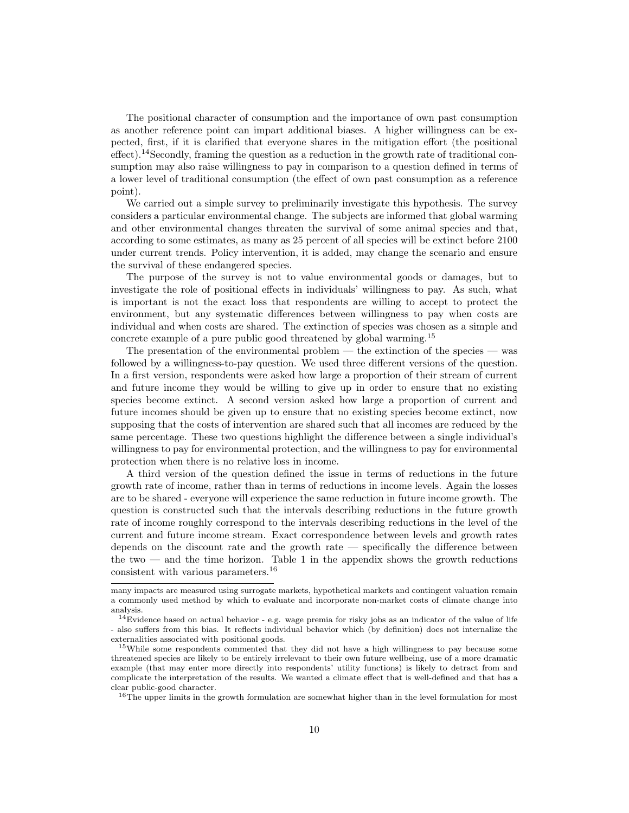The positional character of consumption and the importance of own past consumption as another reference point can impart additional biases. A higher willingness can be expected, first, if it is clarified that everyone shares in the mitigation effort (the positional  $effect$ ).<sup>14</sup>Secondly, framing the question as a reduction in the growth rate of traditional consumption may also raise willingness to pay in comparison to a question defined in terms of a lower level of traditional consumption (the effect of own past consumption as a reference point).

We carried out a simple survey to preliminarily investigate this hypothesis. The survey considers a particular environmental change. The subjects are informed that global warming and other environmental changes threaten the survival of some animal species and that, according to some estimates, as many as 25 percent of all species will be extinct before 2100 under current trends. Policy intervention, it is added, may change the scenario and ensure the survival of these endangered species.

The purpose of the survey is not to value environmental goods or damages, but to investigate the role of positional effects in individuals' willingness to pay. As such, what is important is not the exact loss that respondents are willing to accept to protect the environment, but any systematic differences between willingness to pay when costs are individual and when costs are shared. The extinction of species was chosen as a simple and concrete example of a pure public good threatened by global warming.<sup>15</sup>

The presentation of the environmental problem — the extinction of the species — was followed by a willingness-to-pay question. We used three different versions of the question. In a first version, respondents were asked how large a proportion of their stream of current and future income they would be willing to give up in order to ensure that no existing species become extinct. A second version asked how large a proportion of current and future incomes should be given up to ensure that no existing species become extinct, now supposing that the costs of intervention are shared such that all incomes are reduced by the same percentage. These two questions highlight the difference between a single individual's willingness to pay for environmental protection, and the willingness to pay for environmental protection when there is no relative loss in income.

A third version of the question defined the issue in terms of reductions in the future growth rate of income, rather than in terms of reductions in income levels. Again the losses are to be shared - everyone will experience the same reduction in future income growth. The question is constructed such that the intervals describing reductions in the future growth rate of income roughly correspond to the intervals describing reductions in the level of the current and future income stream. Exact correspondence between levels and growth rates depends on the discount rate and the growth rate — specifically the difference between the two — and the time horizon. Table 1 in the appendix shows the growth reductions consistent with various parameters.<sup>16</sup>

many impacts are measured using surrogate markets, hypothetical markets and contingent valuation remain a commonly used method by which to evaluate and incorporate non-market costs of climate change into analysis.

 $14$ Evidence based on actual behavior - e.g. wage premia for risky jobs as an indicator of the value of life - also suffers from this bias. It reflects individual behavior which (by definition) does not internalize the externalities associated with positional goods.

<sup>15</sup>While some respondents commented that they did not have a high willingness to pay because some threatened species are likely to be entirely irrelevant to their own future wellbeing, use of a more dramatic example (that may enter more directly into respondents' utility functions) is likely to detract from and complicate the interpretation of the results. We wanted a climate effect that is well-defined and that has a clear public-good character.

<sup>&</sup>lt;sup>16</sup>The upper limits in the growth formulation are somewhat higher than in the level formulation for most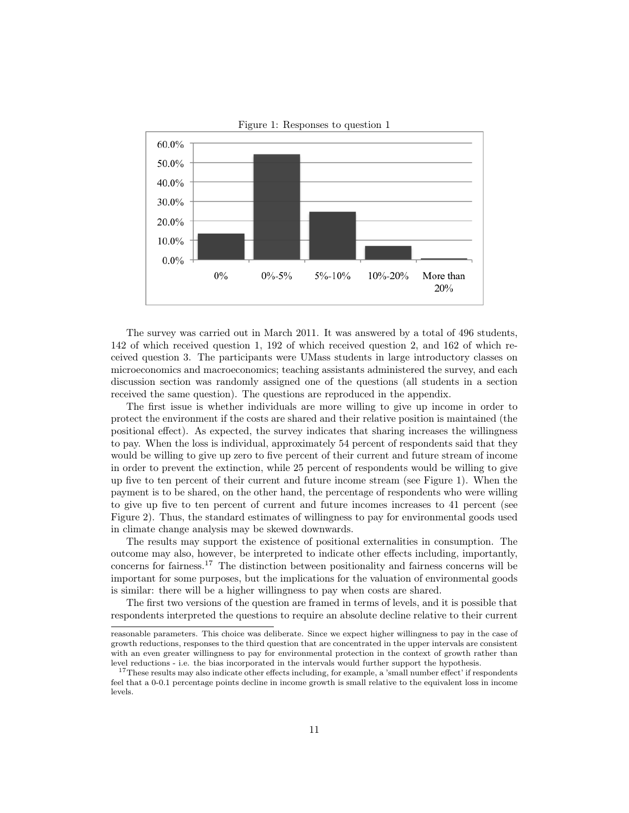

The survey was carried out in March 2011. It was answered by a total of 496 students, 142 of which received question 1, 192 of which received question 2, and 162 of which received question 3. The participants were UMass students in large introductory classes on microeconomics and macroeconomics; teaching assistants administered the survey, and each discussion section was randomly assigned one of the questions (all students in a section received the same question). The questions are reproduced in the appendix.

The first issue is whether individuals are more willing to give up income in order to protect the environment if the costs are shared and their relative position is maintained (the positional effect). As expected, the survey indicates that sharing increases the willingness to pay. When the loss is individual, approximately 54 percent of respondents said that they would be willing to give up zero to five percent of their current and future stream of income in order to prevent the extinction, while 25 percent of respondents would be willing to give up five to ten percent of their current and future income stream (see Figure 1). When the payment is to be shared, on the other hand, the percentage of respondents who were willing to give up five to ten percent of current and future incomes increases to 41 percent (see Figure 2). Thus, the standard estimates of willingness to pay for environmental goods used in climate change analysis may be skewed downwards.

The results may support the existence of positional externalities in consumption. The outcome may also, however, be interpreted to indicate other effects including, importantly, concerns for fairness.<sup>17</sup> The distinction between positionality and fairness concerns will be important for some purposes, but the implications for the valuation of environmental goods is similar: there will be a higher willingness to pay when costs are shared.

The first two versions of the question are framed in terms of levels, and it is possible that respondents interpreted the questions to require an absolute decline relative to their current

reasonable parameters. This choice was deliberate. Since we expect higher willingness to pay in the case of growth reductions, responses to the third question that are concentrated in the upper intervals are consistent with an even greater willingness to pay for environmental protection in the context of growth rather than level reductions - i.e. the bias incorporated in the intervals would further support the hypothesis.

<sup>&</sup>lt;sup>17</sup>These results may also indicate other effects including, for example, a 'small number effect' if respondents feel that a 0-0.1 percentage points decline in income growth is small relative to the equivalent loss in income levels.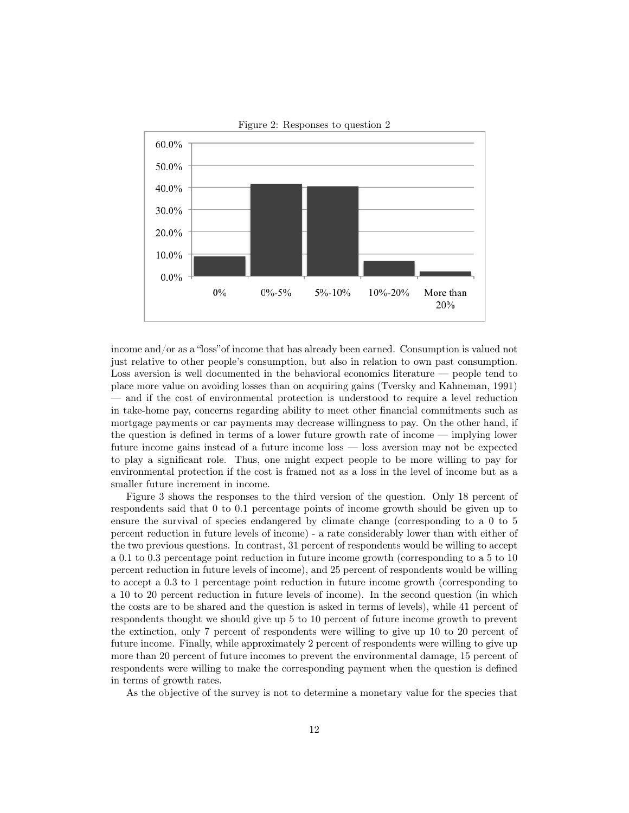

Figure 2: Responses to question 2

income and/or as a "loss"of income that has already been earned. Consumption is valued not just relative to other people's consumption, but also in relation to own past consumption. Loss aversion is well documented in the behavioral economics literature — people tend to place more value on avoiding losses than on acquiring gains (Tversky and Kahneman, 1991) — and if the cost of environmental protection is understood to require a level reduction in take-home pay, concerns regarding ability to meet other financial commitments such as mortgage payments or car payments may decrease willingness to pay. On the other hand, if the question is defined in terms of a lower future growth rate of income — implying lower future income gains instead of a future income loss — loss aversion may not be expected to play a significant role. Thus, one might expect people to be more willing to pay for environmental protection if the cost is framed not as a loss in the level of income but as a smaller future increment in income.

Figure 3 shows the responses to the third version of the question. Only 18 percent of respondents said that 0 to 0.1 percentage points of income growth should be given up to ensure the survival of species endangered by climate change (corresponding to a 0 to 5 percent reduction in future levels of income) - a rate considerably lower than with either of the two previous questions. In contrast, 31 percent of respondents would be willing to accept a 0.1 to 0.3 percentage point reduction in future income growth (corresponding to a 5 to 10 percent reduction in future levels of income), and 25 percent of respondents would be willing to accept a 0.3 to 1 percentage point reduction in future income growth (corresponding to a 10 to 20 percent reduction in future levels of income). In the second question (in which the costs are to be shared and the question is asked in terms of levels), while 41 percent of respondents thought we should give up 5 to 10 percent of future income growth to prevent the extinction, only 7 percent of respondents were willing to give up 10 to 20 percent of future income. Finally, while approximately 2 percent of respondents were willing to give up more than 20 percent of future incomes to prevent the environmental damage, 15 percent of respondents were willing to make the corresponding payment when the question is defined in terms of growth rates.

As the objective of the survey is not to determine a monetary value for the species that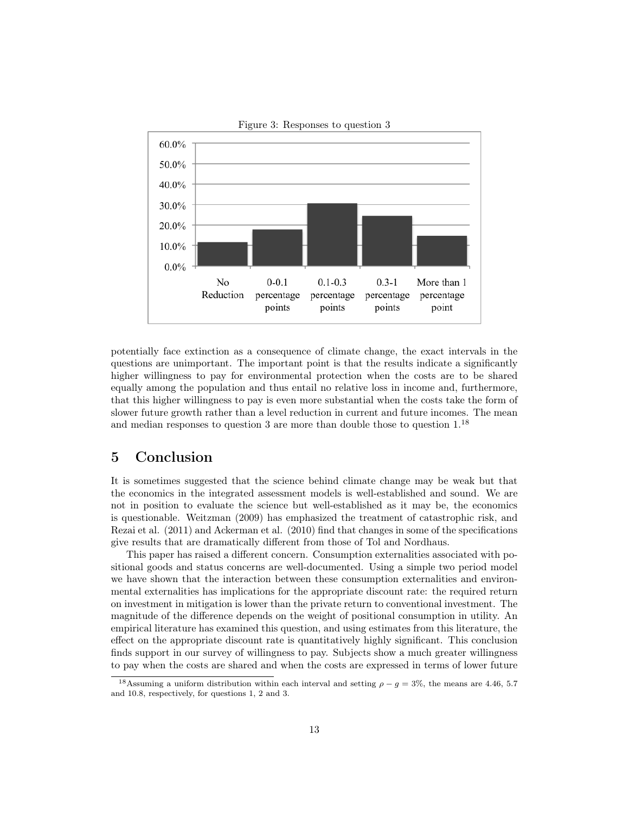

potentially face extinction as a consequence of climate change, the exact intervals in the questions are unimportant. The important point is that the results indicate a significantly higher willingness to pay for environmental protection when the costs are to be shared equally among the population and thus entail no relative loss in income and, furthermore, that this higher willingness to pay is even more substantial when the costs take the form of slower future growth rather than a level reduction in current and future incomes. The mean and median responses to question 3 are more than double those to question  $1^{18}$ 

#### 5 Conclusion

It is sometimes suggested that the science behind climate change may be weak but that the economics in the integrated assessment models is well-established and sound. We are not in position to evaluate the science but well-established as it may be, the economics is questionable. Weitzman (2009) has emphasized the treatment of catastrophic risk, and Rezai et al. (2011) and Ackerman et al. (2010) find that changes in some of the specifications give results that are dramatically different from those of Tol and Nordhaus.

This paper has raised a different concern. Consumption externalities associated with positional goods and status concerns are well-documented. Using a simple two period model we have shown that the interaction between these consumption externalities and environmental externalities has implications for the appropriate discount rate: the required return on investment in mitigation is lower than the private return to conventional investment. The magnitude of the difference depends on the weight of positional consumption in utility. An empirical literature has examined this question, and using estimates from this literature, the effect on the appropriate discount rate is quantitatively highly significant. This conclusion finds support in our survey of willingness to pay. Subjects show a much greater willingness to pay when the costs are shared and when the costs are expressed in terms of lower future

<sup>&</sup>lt;sup>18</sup>Assuming a uniform distribution within each interval and setting  $\rho - g = 3\%$ , the means are 4.46, 5.7 and 10.8, respectively, for questions 1, 2 and 3.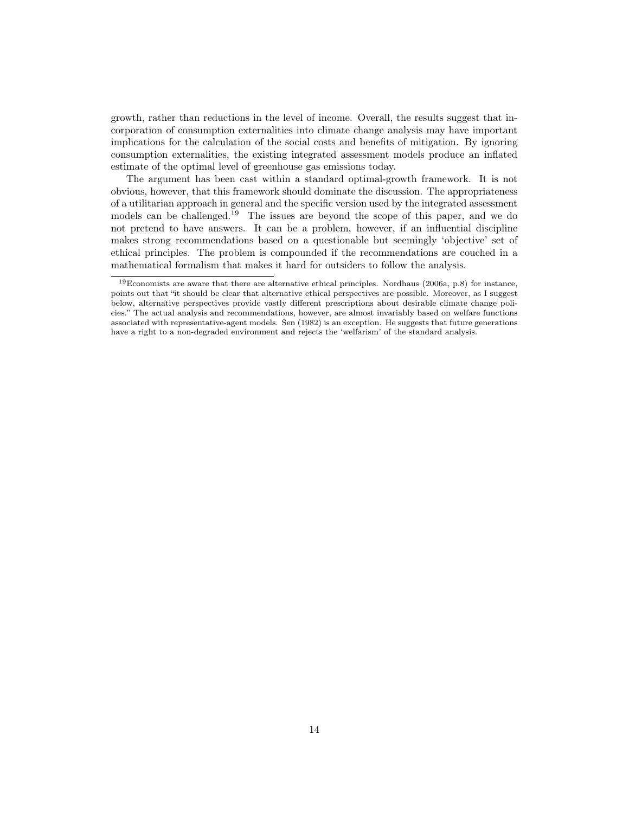growth, rather than reductions in the level of income. Overall, the results suggest that incorporation of consumption externalities into climate change analysis may have important implications for the calculation of the social costs and benefits of mitigation. By ignoring consumption externalities, the existing integrated assessment models produce an inflated estimate of the optimal level of greenhouse gas emissions today.

The argument has been cast within a standard optimal-growth framework. It is not obvious, however, that this framework should dominate the discussion. The appropriateness of a utilitarian approach in general and the specific version used by the integrated assessment models can be challenged.<sup>19</sup> The issues are beyond the scope of this paper, and we do not pretend to have answers. It can be a problem, however, if an influential discipline makes strong recommendations based on a questionable but seemingly 'objective' set of ethical principles. The problem is compounded if the recommendations are couched in a mathematical formalism that makes it hard for outsiders to follow the analysis.

 $19$ Economists are aware that there are alternative ethical principles. Nordhaus (2006a, p.8) for instance, points out that "it should be clear that alternative ethical perspectives are possible. Moreover, as I suggest below, alternative perspectives provide vastly different prescriptions about desirable climate change policies." The actual analysis and recommendations, however, are almost invariably based on welfare functions associated with representative-agent models. Sen (1982) is an exception. He suggests that future generations have a right to a non-degraded environment and rejects the 'welfarism' of the standard analysis.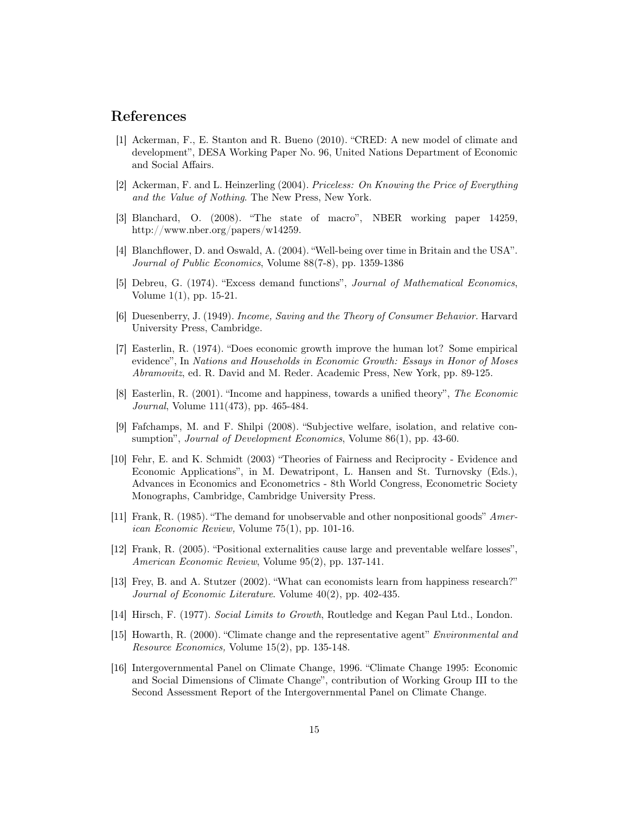#### References

- [1] Ackerman, F., E. Stanton and R. Bueno (2010). "CRED: A new model of climate and development", DESA Working Paper No. 96, United Nations Department of Economic and Social Affairs.
- [2] Ackerman, F. and L. Heinzerling (2004). *Priceless: On Knowing the Price of Everything and the Value of Nothing*. The New Press, New York.
- [3] Blanchard, O. (2008). "The state of macro", NBER working paper 14259, http://www.nber.org/papers/w14259.
- [4] Blanchflower, D. and Oswald, A. (2004). "Well-being over time in Britain and the USA". *Journal of Public Economics*, Volume 88(7-8), pp. 1359-1386
- [5] Debreu, G. (1974). "Excess demand functions", *Journal of Mathematical Economics*, Volume 1(1), pp. 15-21.
- [6] Duesenberry, J. (1949). *Income, Saving and the Theory of Consumer Behavior.* Harvard University Press, Cambridge.
- [7] Easterlin, R. (1974). "Does economic growth improve the human lot? Some empirical evidence", In *Nations and Households in Economic Growth: Essays in Honor of Moses Abramovitz*, ed. R. David and M. Reder. Academic Press, New York, pp. 89-125.
- [8] Easterlin, R. (2001). "Income and happiness, towards a unified theory", *The Economic Journal*, Volume 111(473), pp. 465-484.
- [9] Fafchamps, M. and F. Shilpi (2008). "Subjective welfare, isolation, and relative consumption", *Journal of Development Economics*, Volume 86(1), pp. 43-60.
- [10] Fehr, E. and K. Schmidt (2003) "Theories of Fairness and Reciprocity Evidence and Economic Applications", in M. Dewatripont, L. Hansen and St. Turnovsky (Eds.), Advances in Economics and Econometrics - 8th World Congress, Econometric Society Monographs, Cambridge, Cambridge University Press.
- [11] Frank, R. (1985). "The demand for unobservable and other nonpositional goods" *American Economic Review,* Volume 75(1), pp. 101-16.
- [12] Frank, R. (2005). "Positional externalities cause large and preventable welfare losses", *American Economic Review*, Volume 95(2), pp. 137-141.
- [13] Frey, B. and A. Stutzer (2002). "What can economists learn from happiness research?" *Journal of Economic Literature*. Volume 40(2), pp. 402-435.
- [14] Hirsch, F. (1977). *Social Limits to Growth*, Routledge and Kegan Paul Ltd., London.
- [15] Howarth, R. (2000). "Climate change and the representative agent" *Environmental and Resource Economics,* Volume 15(2), pp. 135-148.
- [16] Intergovernmental Panel on Climate Change, 1996. "Climate Change 1995: Economic and Social Dimensions of Climate Change", contribution of Working Group III to the Second Assessment Report of the Intergovernmental Panel on Climate Change.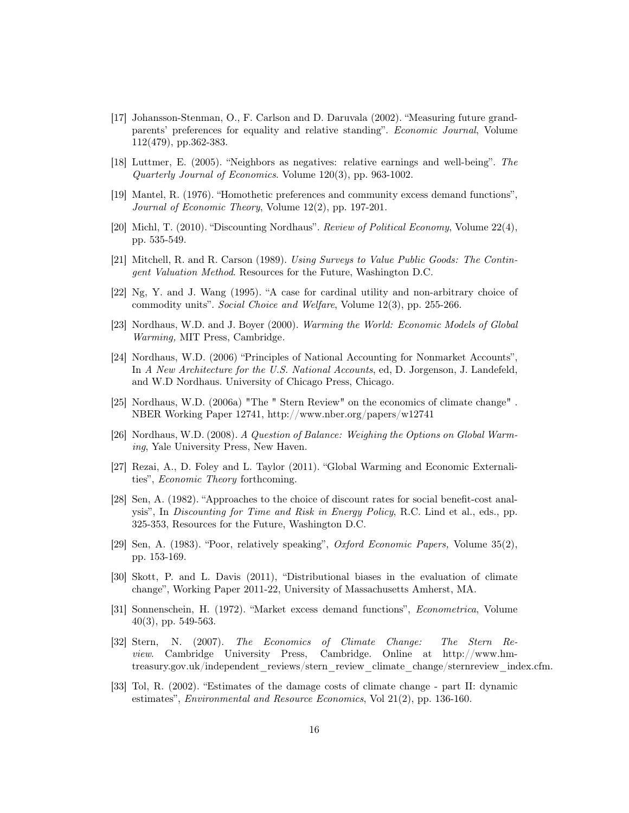- [17] Johansson-Stenman, O., F. Carlson and D. Daruvala (2002). "Measuring future grandparents' preferences for equality and relative standing". *Economic Journal*, Volume 112(479), pp.362-383.
- [18] Luttmer, E. (2005). "Neighbors as negatives: relative earnings and well-being". *The Quarterly Journal of Economics*. Volume 120(3), pp. 963-1002.
- [19] Mantel, R. (1976). "Homothetic preferences and community excess demand functions", *Journal of Economic Theory*, Volume 12(2), pp. 197-201.
- [20] Michl, T. (2010). "Discounting Nordhaus". *Review of Political Economy*, Volume 22(4), pp. 535-549.
- [21] Mitchell, R. and R. Carson (1989). *Using Surveys to Value Public Goods: The Contingent Valuation Method*. Resources for the Future, Washington D.C.
- [22] Ng, Y. and J. Wang (1995). "A case for cardinal utility and non-arbitrary choice of commodity units". *Social Choice and Welfare*, Volume 12(3), pp. 255-266.
- [23] Nordhaus, W.D. and J. Boyer (2000). *Warming the World: Economic Models of Global Warming,* MIT Press, Cambridge*.*
- [24] Nordhaus, W.D. (2006) "Principles of National Accounting for Nonmarket Accounts", In *A New Architecture for the U.S. National Accounts*, ed, D. Jorgenson, J. Landefeld, and W.D Nordhaus. University of Chicago Press, Chicago.
- [25] Nordhaus, W.D. (2006a) "The " Stern Review" on the economics of climate change" . NBER Working Paper 12741, http://www.nber.org/papers/w12741
- [26] Nordhaus, W.D. (2008). *A Question of Balance: Weighing the Options on Global Warming*, Yale University Press, New Haven.
- [27] Rezai, A., D. Foley and L. Taylor (2011). "Global Warming and Economic Externalities", *Economic Theory* forthcoming.
- [28] Sen, A. (1982). "Approaches to the choice of discount rates for social benefit-cost analysis", In *Discounting for Time and Risk in Energy Policy*, R.C. Lind et al., eds., pp. 325-353, Resources for the Future, Washington D.C.
- [29] Sen, A. (1983). "Poor, relatively speaking", *Oxford Economic Papers,* Volume 35(2), pp. 153-169.
- [30] Skott, P. and L. Davis (2011), "Distributional biases in the evaluation of climate change", Working Paper 2011-22, University of Massachusetts Amherst, MA.
- [31] Sonnenschein, H. (1972). "Market excess demand functions", *Econometrica*, Volume 40(3), pp. 549-563.
- [32] Stern, N. (2007). *The Economics of Climate Change: The Stern Review*. Cambridge University Press, Cambridge. Online at http://www.hmtreasury.gov.uk/independent\_reviews/stern\_review\_climate\_change/sternreview\_index.cfm.
- [33] Tol, R. (2002). "Estimates of the damage costs of climate change part II: dynamic estimates", *Environmental and Resource Economics*, Vol 21(2), pp. 136-160.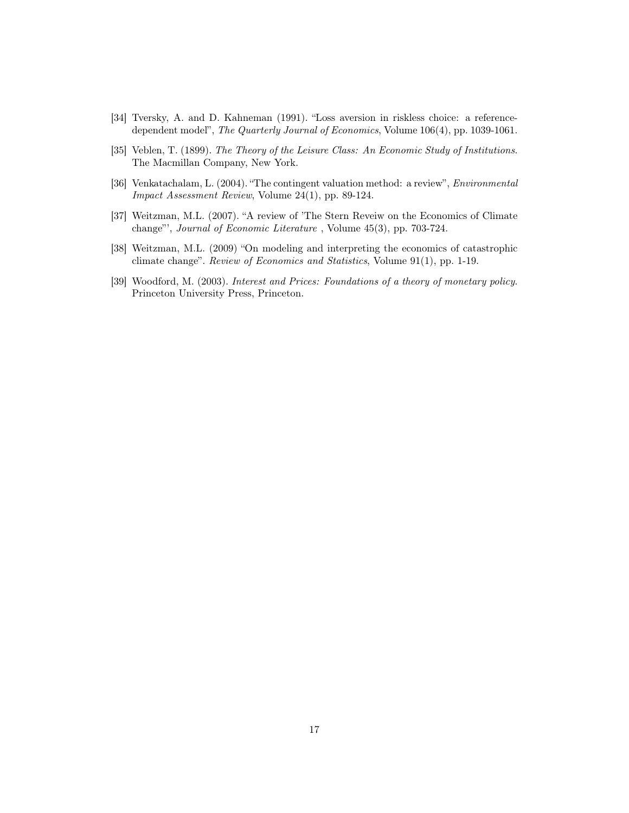- [34] Tversky, A. and D. Kahneman (1991). "Loss aversion in riskless choice: a referencedependent model", *The Quarterly Journal of Economics*, Volume 106(4), pp. 1039-1061.
- [35] Veblen, T. (1899). *The Theory of the Leisure Class: An Economic Study of Institutions*. The Macmillan Company, New York.
- [36] Venkatachalam, L. (2004). "The contingent valuation method: a review", *Environmental Impact Assessment Review*, Volume 24(1), pp. 89-124.
- [37] Weitzman, M.L. (2007). "A review of 'The Stern Reveiw on the Economics of Climate change"', *Journal of Economic Literature* , Volume 45(3), pp. 703-724.
- [38] Weitzman, M.L. (2009) "On modeling and interpreting the economics of catastrophic climate change". *Review of Economics and Statistics*, Volume 91(1), pp. 1-19.
- [39] Woodford, M. (2003). *Interest and Prices: Foundations of a theory of monetary policy*. Princeton University Press, Princeton.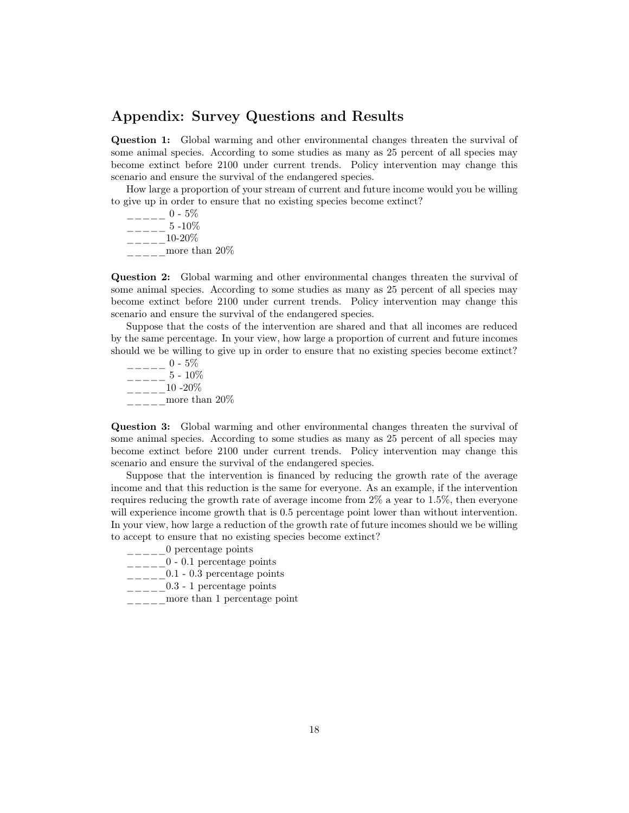#### Appendix: Survey Questions and Results

Question 1: Global warming and other environmental changes threaten the survival of some animal species. According to some studies as many as 25 percent of all species may become extinct before 2100 under current trends. Policy intervention may change this scenario and ensure the survival of the endangered species.

How large a proportion of your stream of current and future income would you be willing to give up in order to ensure that no existing species become extinct?

 $--- 0 - 5\%$  $\frac{1}{2}$  -10%  $---10-20\%$  $\frac{1}{1}$  more than 20%

Question 2: Global warming and other environmental changes threaten the survival of some animal species. According to some studies as many as 25 percent of all species may become extinct before 2100 under current trends. Policy intervention may change this scenario and ensure the survival of the endangered species.

Suppose that the costs of the intervention are shared and that all incomes are reduced by the same percentage. In your view, how large a proportion of current and future incomes should we be willing to give up in order to ensure that no existing species become extinct?

 $--- 0 - 5\%$  $\frac{\phantom{0}-}{\phantom{0}10\%}$  $---10 - 20\%$  $\frac{1}{2}$  more than 20%

Question 3: Global warming and other environmental changes threaten the survival of some animal species. According to some studies as many as 25 percent of all species may become extinct before 2100 under current trends. Policy intervention may change this scenario and ensure the survival of the endangered species.

Suppose that the intervention is financed by reducing the growth rate of the average income and that this reduction is the same for everyone. As an example, if the intervention requires reducing the growth rate of average income from 2% a year to 1.5%, then everyone will experience income growth that is 0.5 percentage point lower than without intervention. In your view, how large a reduction of the growth rate of future incomes should we be willing to accept to ensure that no existing species become extinct?

 $\frac{1}{1}$  =  $\frac{1}{1}$  0 percentage points

 $\frac{1}{2}$  - 0.1 percentage points

 $---$ <sup>0.1</sup> - 0.3 percentage points

 $---0.3 - 1$  percentage points

\_\_\_\_\_more than 1 percentage point